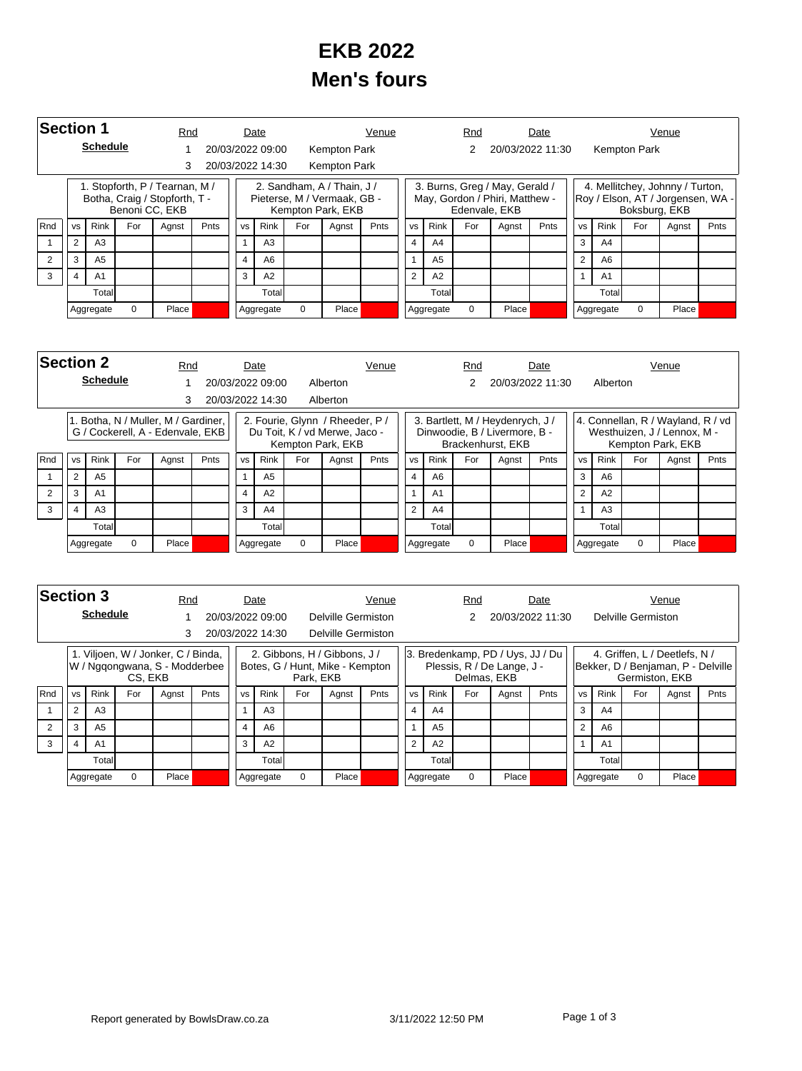## **EKB 2022 Men's fours**

| <b>Section 1</b> |                                                            |                 |          | Rnd                                                             |      |                | Date             |          |                                                                                | Venue       |                |                | Rnd      |                                                                                   | Date        |                |                |               | Venue                                                                |      |
|------------------|------------------------------------------------------------|-----------------|----------|-----------------------------------------------------------------|------|----------------|------------------|----------|--------------------------------------------------------------------------------|-------------|----------------|----------------|----------|-----------------------------------------------------------------------------------|-------------|----------------|----------------|---------------|----------------------------------------------------------------------|------|
|                  |                                                            | <b>Schedule</b> |          |                                                                 |      |                | 20/03/2022 09:00 |          | Kempton Park                                                                   |             |                |                | 2        | 20/03/2022 11:30                                                                  |             |                |                | Kempton Park  |                                                                      |      |
|                  |                                                            |                 |          | 3                                                               |      |                | 20/03/2022 14:30 |          | Kempton Park                                                                   |             |                |                |          |                                                                                   |             |                |                |               |                                                                      |      |
|                  |                                                            |                 |          | 1. Stopforth, P / Tearnan, M /<br>Botha, Craig / Stopforth, T - |      |                |                  |          | 2. Sandham, A / Thain, J /<br>Pieterse, M / Vermaak, GB -<br>Kempton Park, EKB |             |                |                |          | 3. Burns, Greg / May, Gerald /<br>May, Gordon / Phiri, Matthew -<br>Edenvale, EKB |             |                |                | Boksburg, EKB | 4. Mellitchey, Johnny / Turton,<br>Roy / Elson, AT / Jorgensen, WA - |      |
| Rnd              | Benoni CC, EKB<br><b>Rink</b><br>For<br><b>VS</b><br>Agnst |                 |          |                                                                 | Pnts | <b>VS</b>      | Rink             | For      | Agnst                                                                          | <b>Pnts</b> | <b>VS</b>      | Rink           | For      | Agnst                                                                             | <b>Pnts</b> | <b>VS</b>      | <b>Rink</b>    | For           | Agnst                                                                | Pnts |
|                  | 2                                                          | A <sub>3</sub>  |          |                                                                 |      |                | A <sub>3</sub>   |          |                                                                                |             | $\overline{4}$ | A <sub>4</sub> |          |                                                                                   |             | 3              | A <sub>4</sub> |               |                                                                      |      |
| 2                | 3<br>A <sub>5</sub>                                        |                 |          |                                                                 |      | $\overline{4}$ | A <sub>6</sub>   |          |                                                                                |             |                | A <sub>5</sub> |          |                                                                                   |             | $\overline{2}$ | A6             |               |                                                                      |      |
| 3                | A <sub>1</sub><br>4                                        |                 |          |                                                                 |      | 3              | A2               |          |                                                                                |             | $\overline{2}$ | A2             |          |                                                                                   |             | 1              | A <sub>1</sub> |               |                                                                      |      |
|                  | Total                                                      |                 |          |                                                                 |      |                | Total            |          |                                                                                |             |                | Total          |          |                                                                                   |             |                | Total          |               |                                                                      |      |
|                  |                                                            | Aggregate       | $\Omega$ | Place                                                           |      |                | Aggregate        | $\Omega$ | Place                                                                          |             |                | Aggregate      | $\Omega$ | Place                                                                             |             |                | Aggregate      | $\Omega$      | Place                                                                |      |

|     | <b>Section 2</b><br><b>Schedule</b> |                |          | Rnd                                                                     |      |           | Date             |     |                                                                                       | Venue |           |                | Rnd      |                                                                                        | Date             |                |                |          | Venue                                                                                 |      |
|-----|-------------------------------------|----------------|----------|-------------------------------------------------------------------------|------|-----------|------------------|-----|---------------------------------------------------------------------------------------|-------|-----------|----------------|----------|----------------------------------------------------------------------------------------|------------------|----------------|----------------|----------|---------------------------------------------------------------------------------------|------|
|     |                                     |                |          |                                                                         |      |           | 20/03/2022 09:00 |     | Alberton                                                                              |       |           |                |          |                                                                                        | 20/03/2022 11:30 |                | Alberton       |          |                                                                                       |      |
|     |                                     |                |          | 3                                                                       |      |           | 20/03/2022 14:30 |     | Alberton                                                                              |       |           |                |          |                                                                                        |                  |                |                |          |                                                                                       |      |
|     |                                     |                |          | 1. Botha, N / Muller, M / Gardiner,<br>G / Cockerell, A - Edenvale, EKB |      |           |                  |     | 2. Fourie, Glynn / Rheeder, P /<br>Du Toit, K / vd Merwe, Jaco -<br>Kempton Park, EKB |       |           |                |          | 3. Bartlett, M / Heydenrych, J /<br>Dinwoodie, B / Livermore, B -<br>Brackenhurst, EKB |                  |                |                |          | 4. Connellan, R / Wayland, R / vd<br>Westhuizen, J / Lennox, M -<br>Kempton Park, EKB |      |
| Rnd | <b>VS</b>                           | <b>Rink</b>    | For      | Agnst                                                                   | Pnts | <b>VS</b> | <b>Rink</b>      | For | Agnst                                                                                 | Pnts  | <b>VS</b> | <b>Rink</b>    | For      | Agnst                                                                                  | Pnts             | <b>VS</b>      | <b>Rink</b>    | For      | Agnst                                                                                 | Pnts |
|     | 2                                   | A <sub>5</sub> |          |                                                                         |      |           | A <sub>5</sub>   |     |                                                                                       |       | 4         | A <sub>6</sub> |          |                                                                                        |                  | 3              | A <sub>6</sub> |          |                                                                                       |      |
|     | 3                                   | A <sub>1</sub> |          |                                                                         |      | 4         | A2               |     |                                                                                       |       |           | A <sub>1</sub> |          |                                                                                        |                  | $\overline{2}$ | A2             |          |                                                                                       |      |
| 3   | 4                                   | A3             |          |                                                                         |      | 3         | A4               |     |                                                                                       |       | 2         | A4             |          |                                                                                        |                  |                | A <sub>3</sub> |          |                                                                                       |      |
|     | Totall                              |                |          |                                                                         |      |           | Totall           |     |                                                                                       |       |           | Totall         |          |                                                                                        |                  |                | Total          |          |                                                                                       |      |
|     |                                     | Aggregate      | $\Omega$ | Place                                                                   |      |           | Aggregate        | 0   | Place <sup></sup>                                                                     |       |           | Aggregate      | $\Omega$ | Place                                                                                  |                  |                | Aggregate      | $\Omega$ | Place                                                                                 |      |

|     | <b>Section 3</b><br><b>Schedule</b>                                                                                  |                |          |                                                                     | Rnd |                | Date             |             |                                                                 | Venue |                |           | Rnd         |                                                                | Date  |      |                |                    | Venue                                                               |  |
|-----|----------------------------------------------------------------------------------------------------------------------|----------------|----------|---------------------------------------------------------------------|-----|----------------|------------------|-------------|-----------------------------------------------------------------|-------|----------------|-----------|-------------|----------------------------------------------------------------|-------|------|----------------|--------------------|---------------------------------------------------------------------|--|
|     |                                                                                                                      |                |          |                                                                     |     |                | 20/03/2022 09:00 |             | Delville Germiston                                              |       |                |           |             | 20/03/2022 11:30                                               |       |      |                | Delville Germiston |                                                                     |  |
|     |                                                                                                                      |                |          |                                                                     |     |                | 20/03/2022 14:30 |             | Delville Germiston                                              |       |                |           |             |                                                                |       |      |                |                    |                                                                     |  |
|     |                                                                                                                      |                |          | 1. Viljoen, W / Jonker, C / Binda,<br>W / Nggongwana, S - Modderbee |     |                |                  |             | 2. Gibbons, H / Gibbons, J /<br>Botes, G / Hunt, Mike - Kempton |       |                |           | Delmas, EKB | 3. Bredenkamp, PD / Uys, JJ / Du<br>Plessis, R / De Lange, J - |       |      |                | Germiston, EKB     | 4. Griffen, L / Deetlefs, N /<br>Bekker, D / Benjaman, P - Delville |  |
| Rnd | CS, EKB<br>Park, EKB<br><b>Rink</b><br>For<br><b>Rink</b><br>Pnts<br>For<br><b>VS</b><br><b>VS</b><br>Agnst<br>Agnst |                |          |                                                                     |     | Pnts           | <b>VS</b>        | <b>Rink</b> | For                                                             | Agnst | Pnts           | <b>VS</b> | Rink        | For                                                            | Agnst | Pnts |                |                    |                                                                     |  |
|     | $\overline{2}$                                                                                                       | A3             |          |                                                                     |     |                | A3               |             |                                                                 |       |                | A4        |             |                                                                |       | 3    | A <sub>4</sub> |                    |                                                                     |  |
|     | 3                                                                                                                    | A <sub>5</sub> |          |                                                                     |     | $\overline{4}$ | A6               |             |                                                                 |       |                | A5        |             |                                                                |       | 2    | A6             |                    |                                                                     |  |
| 3   | A1<br>4                                                                                                              |                |          |                                                                     |     | 3              | A2               |             |                                                                 |       | $\overline{2}$ | A2        |             |                                                                |       |      | A <sub>1</sub> |                    |                                                                     |  |
|     | Total                                                                                                                |                |          |                                                                     |     |                | Total            |             |                                                                 |       |                | Total     |             |                                                                |       |      | Total          |                    |                                                                     |  |
|     |                                                                                                                      | Aggregate      | $\Omega$ | Place                                                               |     |                | Aggregate        | $\Omega$    | Place                                                           |       |                | Aggregate | $\Omega$    | Place                                                          |       |      | Aggregate      | $\Omega$           | Place                                                               |  |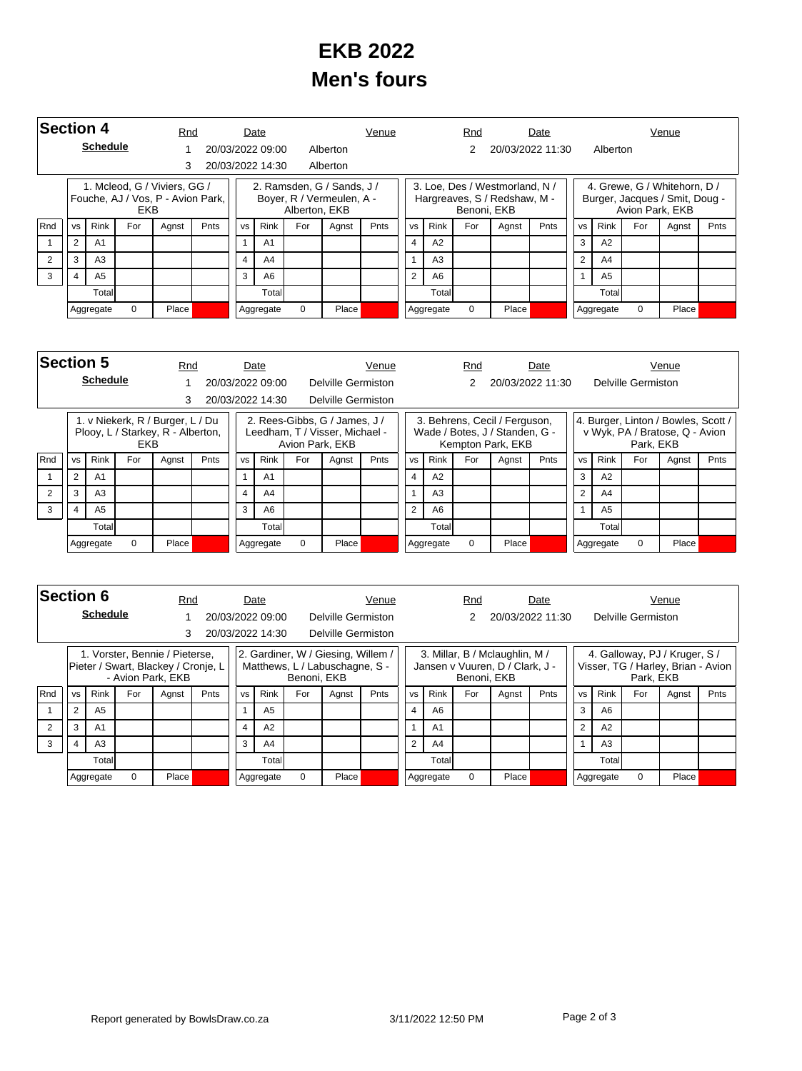## **EKB 2022 Men's fours**

| <b>Section 4</b> |                                                                                                                      |                 |   | Rnd   |  |        | Date             |      |                                                         | Venue |                |                | Rnd         |                                                                | Date             |                |                |                 | Venue                                                          |  |
|------------------|----------------------------------------------------------------------------------------------------------------------|-----------------|---|-------|--|--------|------------------|------|---------------------------------------------------------|-------|----------------|----------------|-------------|----------------------------------------------------------------|------------------|----------------|----------------|-----------------|----------------------------------------------------------------|--|
|                  |                                                                                                                      | <b>Schedule</b> |   |       |  |        | 20/03/2022 09:00 |      | Alberton                                                |       |                |                | 2           |                                                                | 20/03/2022 11:30 |                | Alberton       |                 |                                                                |  |
|                  |                                                                                                                      |                 |   | 3     |  |        | 20/03/2022 14:30 |      | Alberton                                                |       |                |                |             |                                                                |                  |                |                |                 |                                                                |  |
|                  | 1. Mcleod, G / Viviers, GG /<br>Fouche, AJ / Vos, P - Avion Park,<br>EKB<br><b>Rink</b><br>For<br><b>VS</b><br>Agnst |                 |   |       |  |        |                  |      | 2. Ramsden, G / Sands, J /<br>Boyer, R / Vermeulen, A - |       |                |                | Benoni, EKB | 3. Loe, Des / Westmorland, N /<br>Hargreaves, S / Redshaw, M - |                  |                |                | Avion Park, EKB | 4. Grewe, G / Whitehorn, D /<br>Burger, Jacques / Smit, Doug - |  |
| Rnd              | Alberton, EKB<br><b>Rink</b><br>For<br>Pnts<br><b>VS</b><br>Agnst                                                    |                 |   |       |  | Pnts   | <b>VS</b>        | Rink | For                                                     | Agnst | Pnts           | <b>VS</b>      | <b>Rink</b> | For                                                            | Agnst            | Pnts           |                |                 |                                                                |  |
|                  | $\overline{2}$                                                                                                       | A1              |   |       |  |        | A <sub>1</sub>   |      |                                                         |       | 4              | A2             |             |                                                                |                  | 3              | A2             |                 |                                                                |  |
|                  | 3                                                                                                                    | A <sub>3</sub>  |   |       |  | 4      | A <sub>4</sub>   |      |                                                         |       |                | A <sub>3</sub> |             |                                                                |                  | $\overline{2}$ | A4             |                 |                                                                |  |
| 3                | A <sub>5</sub><br>4                                                                                                  |                 |   |       |  | 3      | A6               |      |                                                         |       | $\overline{2}$ | A6             |             |                                                                |                  |                | A <sub>5</sub> |                 |                                                                |  |
|                  | Total                                                                                                                |                 |   |       |  | Totall |                  |      |                                                         |       | Totall         |                |             |                                                                |                  | Totall         |                |                 |                                                                |  |
|                  |                                                                                                                      | Aggregate       | 0 | Place |  |        | Aggregate        | 0    | Place                                                   |       |                | Aggregate      | $\Omega$    | Place                                                          |                  |                | Aggregate      | $\Omega$        | Place                                                          |  |

|            | <b>Section 5</b><br><b>Schedule</b>                                                                                    |                |   | Rnd                                                                   |  |       | Date             |             |                                                                 | Venue |                |           | Rnd         |                                                                                      | Date             |       |                |                    | Venue                                                                 |  |
|------------|------------------------------------------------------------------------------------------------------------------------|----------------|---|-----------------------------------------------------------------------|--|-------|------------------|-------------|-----------------------------------------------------------------|-------|----------------|-----------|-------------|--------------------------------------------------------------------------------------|------------------|-------|----------------|--------------------|-----------------------------------------------------------------------|--|
|            |                                                                                                                        |                |   |                                                                       |  |       | 20/03/2022 09:00 |             | Delville Germiston                                              |       |                |           | 2           |                                                                                      | 20/03/2022 11:30 |       |                | Delville Germiston |                                                                       |  |
|            |                                                                                                                        |                |   | 3                                                                     |  |       | 20/03/2022 14:30 |             | Delville Germiston                                              |       |                |           |             |                                                                                      |                  |       |                |                    |                                                                       |  |
|            |                                                                                                                        |                |   | 1. v Niekerk, R / Burger, L / Du<br>Plooy, L / Starkey, R - Alberton, |  |       |                  |             | 2. Rees-Gibbs, G / James, J /<br>Leedham, T / Visser, Michael - |       |                |           |             | 3. Behrens, Cecil / Ferguson,<br>Wade / Botes, J / Standen, G -<br>Kempton Park, EKB |                  |       |                | Park. EKB          | 4. Burger, Linton / Bowles, Scott /<br>v Wyk, PA / Bratose, Q - Avion |  |
| <b>Rnd</b> | Avion Park, EKB<br>EKB<br><b>Rink</b><br>For<br>For<br>Pnts<br><b>Rink</b><br><b>VS</b><br>Agnst<br><b>VS</b><br>Agnst |                |   |                                                                       |  | Pnts  | <b>VS</b>        | <b>Rink</b> | For                                                             | Agnst | Pnts           | <b>VS</b> | <b>Rink</b> | For                                                                                  | Agnst            | Pnts  |                |                    |                                                                       |  |
|            | 2                                                                                                                      | A <sub>1</sub> |   |                                                                       |  |       | A <sub>1</sub>   |             |                                                                 |       |                | 4<br>A2   |             |                                                                                      |                  | 3     | A2             |                    |                                                                       |  |
|            | 3                                                                                                                      | A3             |   |                                                                       |  | 4     | A4               |             |                                                                 |       |                | A3        |             |                                                                                      |                  | 2     | A4             |                    |                                                                       |  |
| 3          | A <sub>5</sub><br>4                                                                                                    |                |   |                                                                       |  | 3     | A <sub>6</sub>   |             |                                                                 |       | $\overline{2}$ | A6        |             |                                                                                      |                  |       | A <sub>5</sub> |                    |                                                                       |  |
|            | Total                                                                                                                  |                |   |                                                                       |  | Total |                  |             |                                                                 |       | Totall         |           |             |                                                                                      |                  | Total |                |                    |                                                                       |  |
|            |                                                                                                                        | Aggregate      | 0 | Place                                                                 |  |       | Aggregate        | 0           | Place                                                           |       |                | Aggregate | 0           | Place                                                                                |                  |       | Aggregate      | 0                  | Place                                                                 |  |

|     | <b>Section 6</b><br><b>Schedule</b> |                                                                                                      |   |                                                                       | Rnd |   | Date             |             |                                                                      | Venue |               |                | Rnd         |                                                                   | Date |                |                |                    | Venue                                                               |  |
|-----|-------------------------------------|------------------------------------------------------------------------------------------------------|---|-----------------------------------------------------------------------|-----|---|------------------|-------------|----------------------------------------------------------------------|-------|---------------|----------------|-------------|-------------------------------------------------------------------|------|----------------|----------------|--------------------|---------------------------------------------------------------------|--|
|     |                                     |                                                                                                      |   |                                                                       |     |   | 20/03/2022 09:00 |             | Delville Germiston                                                   |       |               |                |             | 20/03/2022 11:30                                                  |      |                |                | Delville Germiston |                                                                     |  |
|     |                                     |                                                                                                      |   | 3                                                                     |     |   | 20/03/2022 14:30 |             | Delville Germiston                                                   |       |               |                |             |                                                                   |      |                |                |                    |                                                                     |  |
|     |                                     |                                                                                                      |   | 1. Vorster, Bennie / Pieterse,<br>Pieter / Swart, Blackey / Cronje, L |     |   |                  | Benoni, EKB | 2. Gardiner, W / Giesing, Willem /<br>Matthews, L / Labuschagne, S - |       |               |                | Benoni, EKB | 3. Millar, B / Mclaughlin, M /<br>Jansen v Vuuren, D / Clark, J - |      |                |                | Park, EKB          | 4. Galloway, PJ / Kruger, S /<br>Visser, TG / Harley, Brian - Avion |  |
| Rnd | <b>VS</b>                           | - Avion Park, EKB<br><b>Rink</b><br><b>Rink</b><br>For<br>For<br>Pnts<br><b>VS</b><br>Agnst<br>Agnst |   |                                                                       |     |   | Pnts             | <b>VS</b>   | <b>Rink</b>                                                          | For   | Agnst         | Pnts           | <b>VS</b>   | <b>Rink</b>                                                       | For  | Agnst          | Pnts           |                    |                                                                     |  |
|     | 2                                   | A <sub>5</sub>                                                                                       |   |                                                                       |     |   | A <sub>5</sub>   |             |                                                                      |       |               | A <sub>6</sub> |             |                                                                   |      | 3              | A6             |                    |                                                                     |  |
|     | 3                                   | A <sub>1</sub>                                                                                       |   | $\overline{4}$                                                        |     |   | A2               |             |                                                                      |       |               | A <sub>1</sub> |             |                                                                   |      | $\overline{2}$ | A2             |                    |                                                                     |  |
| 3   | A3<br>$\overline{4}$                |                                                                                                      |   |                                                                       |     | 3 | A4               |             |                                                                      |       | $\mathcal{P}$ | A4             |             |                                                                   |      |                | A <sub>3</sub> |                    |                                                                     |  |
|     | Totall                              |                                                                                                      |   |                                                                       |     |   | Totall           |             |                                                                      |       |               | Total          |             |                                                                   |      |                | Total          |                    |                                                                     |  |
|     |                                     | Aggregate                                                                                            | 0 | Place                                                                 |     |   | Aggregate        | $\Omega$    | Place <sup>r</sup>                                                   |       |               | Aggregate      | $\Omega$    | Place                                                             |      |                | Aggregate      | $\Omega$           | Place                                                               |  |